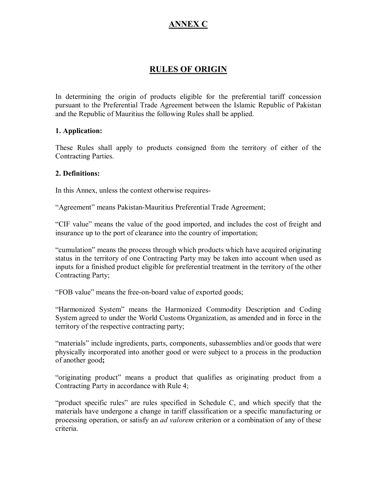# **ANNEX C**

# **RULES OF ORIGIN**

In determining the origin of products eligible for the preferential tariff concession pursuant to the Preferential Trade Agreement between the Islamic Republic of Pakistan and the Republic of Mauritius the following Rules shall be applied.

#### **1. Application:**

These Rules shall apply to products consigned from the territory of either of the Contracting Parties.

#### **2. Definitions:**

In this Annex, unless the context otherwise requires

"Agreement" means Pakistan-Mauritius Preferential Trade Agreement;

"CIF value" means the value of the good imported, and includes the cost of freight and insurance up to the port of clearance into the country of importation;

"cumulation" means the process through which products which have acquired originating status in the territory of one Contracting Party may be taken into account when used as inputs for a finished product eligible for preferential treatment in the territory of the other Contracting Party;

"FOB value" means the free-on-board value of exported goods;

"Harmonized System" means the Harmonized Commodity Description and Coding System agreed to under the World Customs Organization, as amended and in force in the territory of the respective contracting party;

"materials" include ingredients, parts, components, subassemblies and/or goods that were physically incorporated into another good or were subject to a process in the production of another good**;**

"originating product" means a product that qualifies as originating product from a Contracting Party in accordance with Rule 4;

"product specific rules" are rules specified in Schedule C, and which specify that the materials have undergone a change in tariff classification or a specific manufacturing or processing operation, or satisfy an *ad valorem* criterion or a combination of any of these criteria.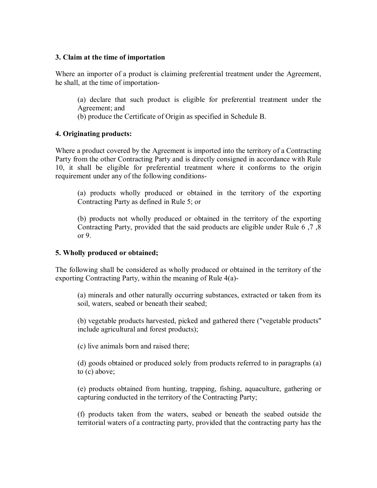#### **3. Claim at the time of importation**

Where an importer of a product is claiming preferential treatment under the Agreement, he shall, at the time of importation

(a) declare that such product is eligible for preferential treatment under the Agreement; and

(b) produce the Certificate of Origin as specified in Schedule B.

#### **4. Originating products:**

Where a product covered by the Agreement is imported into the territory of a Contracting Party from the other Contracting Party and is directly consigned in accordance with Rule 10, it shall be eligible for preferential treatment where it conforms to the origin requirement under any of the following conditions

(a) products wholly produced or obtained in the territory of the exporting Contracting Party as defined in Rule 5; or

(b) products not wholly produced or obtained in the territory of the exporting Contracting Party, provided that the said products are eligible under Rule 6 ,7 ,8 or 9.

### **5. Wholly produced or obtained;**

The following shall be considered as wholly produced or obtained in the territory of the exporting Contracting Party, within the meaning of Rule 4(a)

(a) minerals and other naturally occurring substances, extracted or taken from its soil, waters, seabed or beneath their seabed;

(b) vegetable products harvested, picked and gathered there ("vegetable products" include agricultural and forest products);

(c) live animals born and raised there;

(d) goods obtained or produced solely from products referred to in paragraphs (a) to (c) above;

(e) products obtained from hunting, trapping, fishing, aquaculture, gathering or capturing conducted in the territory of the Contracting Party;

(f) products taken from the waters, seabed or beneath the seabed outside the territorial waters of a contracting party, provided that the contracting party has the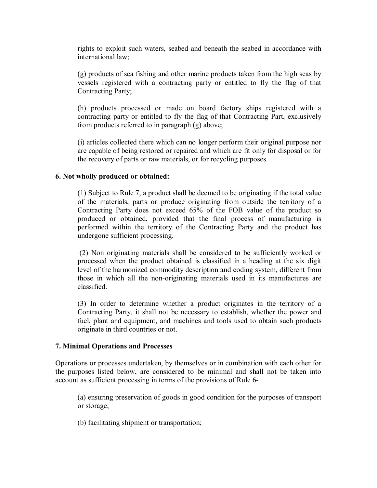rights to exploit such waters, seabed and beneath the seabed in accordance with international law;

(g) products of sea fishing and other marine products taken from the high seas by vessels registered with a contracting party or entitled to fly the flag of that Contracting Party;

(h) products processed or made on board factory ships registered with a contracting party or entitled to fly the flag of that Contracting Part, exclusively from products referred to in paragraph (g) above;

(i) articles collected there which can no longer perform their original purpose nor are capable of being restored or repaired and which are fit only for disposal or for the recovery of parts or raw materials, or for recycling purposes.

#### **6. Not wholly produced or obtained:**

(1) Subject to Rule 7, a product shall be deemed to be originating if the total value of the materials, parts or produce originating from outside the territory of a Contracting Party does not exceed 65% of the FOB value of the product so produced or obtained, provided that the final process of manufacturing is performed within the territory of the Contracting Party and the product has undergone sufficient processing.

(2) Non originating materials shall be considered to be sufficiently worked or processed when the product obtained is classified in a heading at the six digit level of the harmonized commodity description and coding system, different from those in which all the non-originating materials used in its manufactures are classified.

(3) In order to determine whether a product originates in the territory of a Contracting Party, it shall not be necessary to establish, whether the power and fuel, plant and equipment, and machines and tools used to obtain such products originate in third countries or not.

#### **7. Minimal Operations and Processes**

Operations or processes undertaken, by themselves or in combination with each other for the purposes listed below, are considered to be minimal and shall not be taken into account as sufficient processing in terms of the provisions of Rule 6

(a) ensuring preservation of goods in good condition for the purposes of transport or storage;

(b) facilitating shipment or transportation;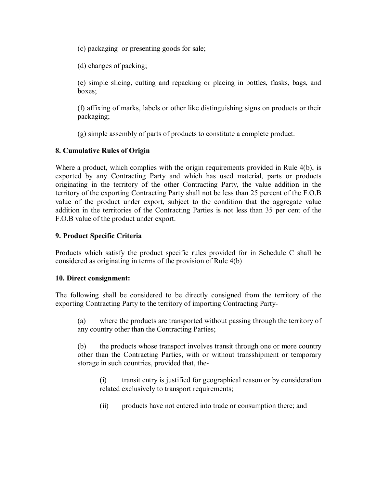(c) packaging or presenting goods for sale;

(d) changes of packing;

(e) simple slicing, cutting and repacking or placing in bottles, flasks, bags, and boxes;

(f) affixing of marks, labels or other like distinguishing signs on products or their packaging;

(g) simple assembly of parts of products to constitute a complete product.

## **8. Cumulative Rules of Origin**

Where a product, which complies with the origin requirements provided in Rule 4(b), is exported by any Contracting Party and which has used material, parts or products originating in the territory of the other Contracting Party, the value addition in the territory of the exporting Contracting Party shall not be less than 25 percent of the F.O.B value of the product under export, subject to the condition that the aggregate value addition in the territories of the Contracting Parties is not less than 35 per cent of the F.O.B value of the product under export.

### **9. Product Specific Criteria**

Products which satisfy the product specific rules provided for in Schedule C shall be considered as originating in terms of the provision of Rule 4(b)

### **10. Direct consignment:**

The following shall be considered to be directly consigned from the territory of the exporting Contracting Party to the territory of importing Contracting Party

(a) where the products are transported without passing through the territory of any country other than the Contracting Parties;

(b) the products whose transport involves transit through one or more country other than the Contracting Parties, with or without transshipment or temporary storage in such countries, provided that, the

(i) transit entry is justified for geographical reason or by consideration related exclusively to transport requirements;

(ii) products have not entered into trade or consumption there; and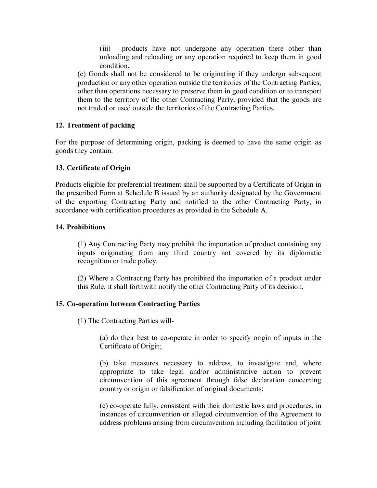(iii) products have not undergone any operation there other than unloading and reloading or any operation required to keep them in good condition.

(c) Goods shall not be considered to be originating if they undergo subsequent production or any other operation outside the territories of the Contracting Parties, other than operations necessary to preserve them in good condition or to transport them to the territory of the other Contracting Party, provided that the goods are not traded or used outside the territories of the Contracting Parties*.*

### **12. Treatment of packing**

For the purpose of determining origin, packing is deemed to have the same origin as goods they contain.

### **13. Certificate of Origin**

Products eligible for preferential treatment shall be supported by a Certificate of Origin in the prescribed Form at Schedule B issued by an authority designated by the Government of the exporting Contracting Party and notified to the other Contracting Party, in accordance with certification procedures as provided in the Schedule A.

### **14. Prohibitions**

(1) Any Contracting Party may prohibit the importation of product containing any inputs originating from any third country not covered by its diplomatic recognition or trade policy.

(2) Where a Contracting Party has prohibited the importation of a product under this Rule, it shall forthwith notify the other Contracting Party of its decision.

### **15. Co-operation between Contracting Parties**

(1) The Contracting Parties will

(a) do their best to co-operate in order to specify origin of inputs in the Certificate of Origin;

(b) take measures necessary to address, to investigate and, where appropriate to take legal and/or administrative action to prevent circumvention of this agreement through false declaration concerning country or origin or falsification of original documents;

(c) cooperate fully, consistent with their domestic laws and procedures, in instances of circumvention or alleged circumvention of the Agreement to address problems arising from circumvention including facilitation of joint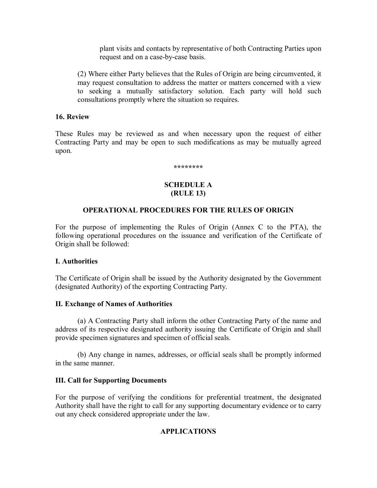plant visits and contacts by representative of both Contracting Parties upon request and on a case-by-case basis.

(2) Where either Party believes that the Rules of Origin are being circumvented, it may request consultation to address the matter or matters concerned with a view to seeking a mutually satisfactory solution. Each party will hold such consultations promptly where the situation so requires.

#### **16. Review**

These Rules may be reviewed as and when necessary upon the request of either Contracting Party and may be open to such modifications as may be mutually agreed upon.

**\*\*\*\*\*\*\*\*** 

#### **SCHEDULE A (RULE 13)**

### **OPERATIONAL PROCEDURES FOR THE RULES OF ORIGIN**

For the purpose of implementing the Rules of Origin (Annex C to the PTA), the following operational procedures on the issuance and verification of the Certificate of Origin shall be followed:

#### **I. Authorities**

The Certificate of Origin shall be issued by the Authority designated by the Government (designated Authority) of the exporting Contracting Party.

#### **II. Exchange of Names of Authorities**

(a) A Contracting Party shall inform the other Contracting Party of the name and address of its respective designated authority issuing the Certificate of Origin and shall provide specimen signatures and specimen of official seals.

(b) Any change in names, addresses, or official seals shall be promptly informed in the same manner.

#### **III. Call for Supporting Documents**

For the purpose of verifying the conditions for preferential treatment, the designated Authority shall have the right to call for any supporting documentary evidence or to carry out any check considered appropriate under the law.

### **APPLICATIONS**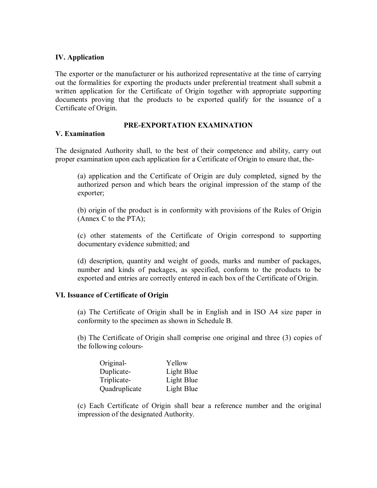#### **IV. Application**

The exporter or the manufacturer or his authorized representative at the time of carrying out the formalities for exporting the products under preferential treatment shall submit a written application for the Certificate of Origin together with appropriate supporting documents proving that the products to be exported qualify for the issuance of a Certificate of Origin.

#### **PRE-EXPORTATION EXAMINATION**

#### **V. Examination**

The designated Authority shall, to the best of their competence and ability, carry out proper examination upon each application for a Certificate of Origin to ensure that, the

(a) application and the Certificate of Origin are duly completed, signed by the authorized person and which bears the original impression of the stamp of the exporter;

(b) origin of the product is in conformity with provisions of the Rules of Origin (Annex C to the PTA);

(c) other statements of the Certificate of Origin correspond to supporting documentary evidence submitted; and

(d) description, quantity and weight of goods, marks and number of packages, number and kinds of packages, as specified, conform to the products to be exported and entries are correctly entered in each box of the Certificate of Origin.

#### **VI. Issuance of Certificate of Origin**

(a) The Certificate of Origin shall be in English and in ISO A4 size paper in conformity to the specimen as shown in Schedule B.

(b) The Certificate of Origin shall comprise one original and three (3) copies of the following colours-

| Original-     | Yellow     |
|---------------|------------|
| Duplicate-    | Light Blue |
| Triplicate-   | Light Blue |
| Quadruplicate | Light Blue |

(c) Each Certificate of Origin shall bear a reference number and the original impression of the designated Authority.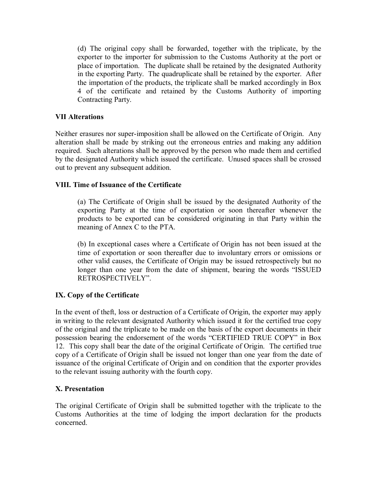(d) The original copy shall be forwarded, together with the triplicate, by the exporter to the importer for submission to the Customs Authority at the port or place of importation. The duplicate shall be retained by the designated Authority in the exporting Party. The quadruplicate shall be retained by the exporter. After the importation of the products, the triplicate shall be marked accordingly in Box 4 of the certificate and retained by the Customs Authority of importing Contracting Party.

### **VII Alterations**

Neither erasures nor super-imposition shall be allowed on the Certificate of Origin. Any alteration shall be made by striking out the erroneous entries and making any addition required. Such alterations shall be approved by the person who made them and certified by the designated Authority which issued the certificate. Unused spaces shall be crossed out to prevent any subsequent addition.

## **VIII. Time of Issuance of the Certificate**

(a) The Certificate of Origin shall be issued by the designated Authority of the exporting Party at the time of exportation or soon thereafter whenever the products to be exported can be considered originating in that Party within the meaning of Annex C to the PTA.

(b) In exceptional cases where a Certificate of Origin has not been issued at the time of exportation or soon thereafter due to involuntary errors or omissions or other valid causes, the Certificate of Origin may be issued retrospectively but no longer than one year from the date of shipment, bearing the words "ISSUED RETROSPECTIVELY".

## **IX. Copy of the Certificate**

In the event of theft, loss or destruction of a Certificate of Origin, the exporter may apply in writing to the relevant designated Authority which issued it for the certified true copy of the original and the triplicate to be made on the basis of the export documents in their possession bearing the endorsement of the words "CERTIFIED TRUE COPY" in Box 12. This copy shall bear the date of the original Certificate of Origin. The certified true copy of a Certificate of Origin shall be issued not longer than one year from the date of issuance of the original Certificate of Origin and on condition that the exporter provides to the relevant issuing authority with the fourth copy.

### **X. Presentation**

The original Certificate of Origin shall be submitted together with the triplicate to the Customs Authorities at the time of lodging the import declaration for the products concerned.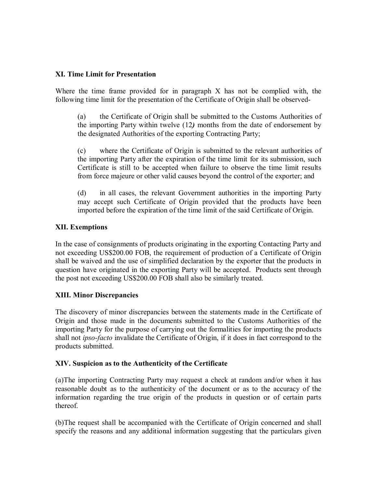#### **XI. Time Limit for Presentation**

Where the time frame provided for in paragraph  $X$  has not be complied with, the following time limit for the presentation of the Certificate of Origin shall be observed

(a) the Certificate of Origin shall be submitted to the Customs Authorities of the importing Party within twelve (12*)* months from the date of endorsement by the designated Authorities of the exporting Contracting Party;

(c) where the Certificate of Origin is submitted to the relevant authorities of the importing Party after the expiration of the time limit for its submission, such Certificate is still to be accepted when failure to observe the time limit results from force majeure or other valid causes beyond the control of the exporter; and

(d) in all cases, the relevant Government authorities in the importing Party may accept such Certificate of Origin provided that the products have been imported before the expiration of the time limit of the said Certificate of Origin.

### **XII. Exemptions**

In the case of consignments of products originating in the exporting Contacting Party and not exceeding US\$200.00 FOB, the requirement of production of a Certificate of Origin shall be waived and the use of simplified declaration by the exporter that the products in question have originated in the exporting Party will be accepted. Products sent through the post not exceeding US\$200.00 FOB shall also be similarly treated.

### **XIII. Minor Discrepancies**

The discovery of minor discrepancies between the statements made in the Certificate of Origin and those made in the documents submitted to the Customs Authorities of the importing Party for the purpose of carrying out the formalities for importing the products shall not *ipso-facto* invalidate the Certificate of Origin, if it does in fact correspond to the products submitted.

#### **XIV. Suspicion as to the Authenticity of the Certificate**

(a)The importing Contracting Party may request a check at random and/or when it has reasonable doubt as to the authenticity of the document or as to the accuracy of the information regarding the true origin of the products in question or of certain parts thereof.

(b)The request shall be accompanied with the Certificate of Origin concerned and shall specify the reasons and any additional information suggesting that the particulars given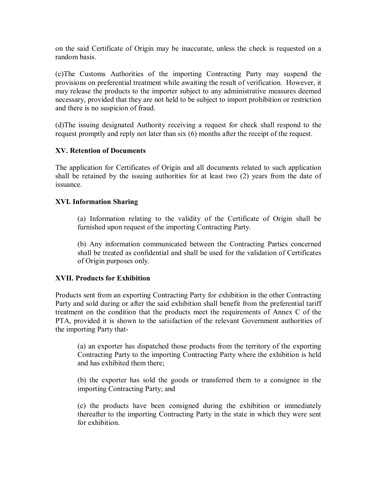on the said Certificate of Origin may be inaccurate, unless the check is requested on a random basis.

(c)The Customs Authorities of the importing Contracting Party may suspend the provisions on preferential treatment while awaiting the result of verification. However, it may release the products to the importer subject to any administrative measures deemed necessary, provided that they are not held to be subject to import prohibition or restriction and there is no suspicion of fraud.

(d)The issuing designated Authority receiving a request for check shall respond to the request promptly and reply not later than six (6) months after the receipt of the request.

#### **XV. Retention of Documents**

The application for Certificates of Origin and all documents related to such application shall be retained by the issuing authorities for at least two (2) years from the date of issuance.

#### **XVI. Information Sharing**

(a) Information relating to the validity of the Certificate of Origin shall be furnished upon request of the importing Contracting Party.

(b) Any information communicated between the Contracting Parties concerned shall be treated as confidential and shall be used for the validation of Certificates of Origin purposes only.

#### **XVII. Products for Exhibition**

Products sent from an exporting Contracting Party for exhibition in the other Contracting Party and sold during or after the said exhibition shall benefit from the preferential tariff treatment on the condition that the products meet the requirements of Annex C of the PTA, provided it is shown to the satisfaction of the relevant Government authorities of the importing Party that

(a) an exporter has dispatched those products from the territory of the exporting Contracting Party to the importing Contracting Party where the exhibition is held and has exhibited them there;

(b) the exporter has sold the goods or transferred them to a consignee in the importing Contracting Party; and

(c) the products have been consigned during the exhibition or immediately thereafter to the importing Contracting Party in the state in which they were sent for exhibition.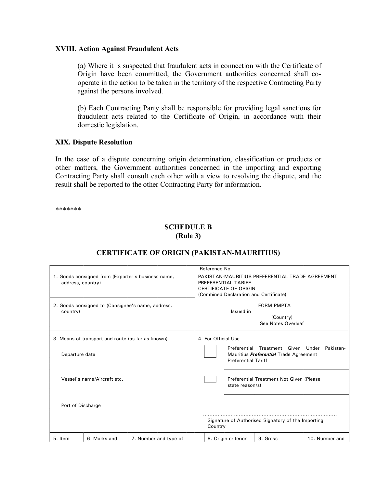#### **XVIII. Action Against Fraudulent Acts**

(a) Where it is suspected that fraudulent acts in connection with the Certificate of Origin have been committed, the Government authorities concerned shall co operate in the action to be taken in the territory of the respective Contracting Party against the persons involved.

(b) Each Contracting Party shall be responsible for providing legal sanctions for fraudulent acts related to the Certificate of Origin, in accordance with their domestic legislation.

#### **XIX. Dispute Resolution**

In the case of a dispute concerning origin determination, classification or products or other matters, the Government authorities concerned in the importing and exporting Contracting Party shall consult each other with a view to resolving the dispute, and the result shall be reported to the other Contracting Party for information.

\*\*\*\*\*\*\*

## **SCHEDULE B (Rule 3)**

|                   |                                                   |                                                    | Reference No.                                                                                          |                                            |                                                                        |                |
|-------------------|---------------------------------------------------|----------------------------------------------------|--------------------------------------------------------------------------------------------------------|--------------------------------------------|------------------------------------------------------------------------|----------------|
| address, country) |                                                   | 1. Goods consigned from (Exporter's business name, | PAKISTAN-MAURITIUS PREFERENTIAL TRADE AGREEMENT<br>PREFERENTIAL TARIFF<br><b>CERTIFICATE OF ORIGIN</b> |                                            |                                                                        |                |
|                   |                                                   |                                                    |                                                                                                        |                                            | (Combined Declaration and Certificate)                                 |                |
| country)          |                                                   | 2. Goods consigned to (Consignee's name, address,  |                                                                                                        | Issued in                                  | <b>FORM PMPTA</b><br>(Country)<br>See Notes Overleaf                   |                |
|                   | 3. Means of transport and route (as far as known) |                                                    | 4. For Official Use                                                                                    |                                            |                                                                        |                |
| Departure date    |                                                   |                                                    |                                                                                                        | Preferential<br><b>Preferential Tariff</b> | Treatment Given Under<br>Mauritius <i>Preferential</i> Trade Agreement | Pakistan-      |
|                   | Vessel's name/Aircraft etc.                       |                                                    |                                                                                                        | state reason/s)                            | Preferential Treatment Not Given (Please                               |                |
| Port of Discharge |                                                   |                                                    |                                                                                                        |                                            |                                                                        |                |
|                   |                                                   |                                                    | Country                                                                                                |                                            | Signature of Authorised Signatory of the Importing                     |                |
| 5. Item           | 6. Marks and                                      | 7. Number and type of                              |                                                                                                        | 8. Origin criterion                        | 9. Gross                                                               | 10. Number and |

## **CERTIFICATE OF ORIGIN (PAKISTAN-MAURITIUS)**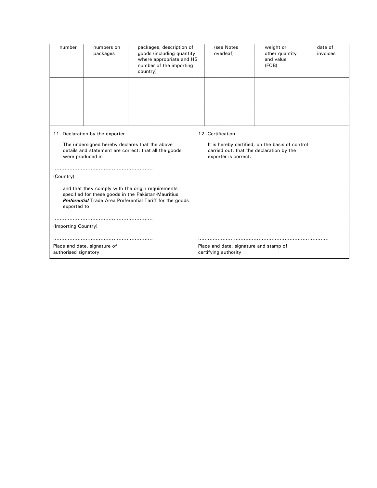| number                                                                                                                                                                                      | numbers on<br>packages | packages, description of<br>goods (including quantity<br>where appropriate and HS<br>number of the importing<br>country) | (see Notes<br>overleaf) | weight or<br>other quantity<br>and value<br>(FOB) | date of<br>invoices |
|---------------------------------------------------------------------------------------------------------------------------------------------------------------------------------------------|------------------------|--------------------------------------------------------------------------------------------------------------------------|-------------------------|---------------------------------------------------|---------------------|
|                                                                                                                                                                                             |                        |                                                                                                                          |                         |                                                   |                     |
|                                                                                                                                                                                             |                        |                                                                                                                          |                         |                                                   |                     |
| 11. Declaration by the exporter                                                                                                                                                             |                        | 12. Certification                                                                                                        |                         |                                                   |                     |
| The undersigned hereby declares that the above<br>details and statement are correct; that all the goods<br>were produced in                                                                 |                        | It is hereby certified, on the basis of control<br>carried out, that the declaration by the<br>exporter is correct.      |                         |                                                   |                     |
| (Country)                                                                                                                                                                                   |                        |                                                                                                                          |                         |                                                   |                     |
| and that they comply with the origin requirements<br>specified for these goods in the Pakistan-Mauritius<br><b>Preferential</b> Trade Area Preferential Tariff for the goods<br>exported to |                        |                                                                                                                          |                         |                                                   |                     |
| (Importing Country)                                                                                                                                                                         |                        |                                                                                                                          |                         |                                                   |                     |
|                                                                                                                                                                                             |                        |                                                                                                                          |                         |                                                   |                     |
| Place and date, signature of<br>authorised signatory                                                                                                                                        |                        | Place and date, signature and stamp of<br>certifying authority                                                           |                         |                                                   |                     |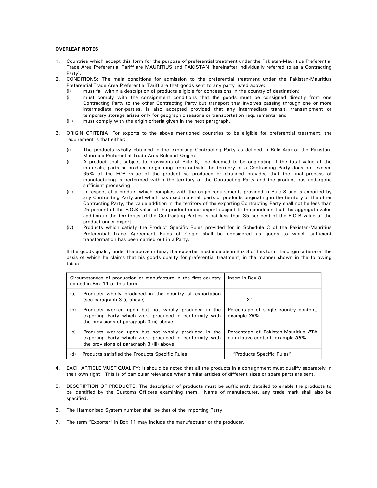#### **OVERLEAF NOTES**

- 1. Countries which accept this form for the purpose of preferential treatment under the Pakistan-Mauritius Preferential Trade Area Preferential Tariff are MAURITIUS and PAKISTAN (hereinafter individually referred to as a Contracting Party).
- 2. CONDITIONS: The main conditions for admission to the preferential treatment under the Pakistan-Mauritius Preferential Trade Area Preferential Tariff are that goods sent to any party listed above:
	- (i) must fall within a description of products eligible for concessions in the country of destination;
	- (ii) must comply with the consignment conditions that the goods must be consigned directly from one Contracting Party to the other Contracting Party but transport that involves passing through one or more intermediate non-parties, is also accepted provided that any intermediate transit, transshipment or temporary storage arises only for geographic reasons or transportation requirements; and
	- (iii) must comply with the origin criteria given in the next paragraph.
- 3. ORIGIN CRITERIA: For exports to the above mentioned countries to be eligible for preferential treatment, the requirement is that either:
	- (i) The products wholly obtained in the exporting Contracting Party as defined in Rule 4(a) of the Pakistan-Mauritius Preferential Trade Area Rules of Origin;
	- (ii) A product shall, subject to provisions of Rule 6, be deemed to be originating if the total value of the materials, parts or produce originating from outside the territory of a Contracting Party does not exceed 65% of the FOB value of the product so produced or obtained provided that the final process of manufacturing is performed within the territory of the Contracting Party and the product has undergone sufficient processing
	- (iii) In respect of a product which complies with the origin requirements provided in Rule <sup>8</sup> and is exported by any Contracting Party and which has used material, parts or products originating in the territory of the other Contracting Party, the value addition in the territory of the exporting Contracting Party shall not be less than 25 percent of the F.O.B value of the product under export subject to the condition that the aggregate value addition in the territories of the Contracting Parties is not less than 35 per cent of the F.O.B value of the product under export
	- (iv) Products which satisfy the Product Specific Rules provided for in Schedule C of the Pakistan-Mauritius Preferential Trade Agreement Rules of Origin shall be considered as goods to which sufficient transformation has been carried out in a Party.

If the goods qualify under the above criteria, the exporter must indicate in Box 8 of this form the origin criteria on the basis of which he claims that his goods qualify for preferential treatment, in the manner shown in the following table:

|     | Circumstances of production or manufacture in the first country<br>named in Box 11 of this form                                                            | Insert in Box 8                                                         |
|-----|------------------------------------------------------------------------------------------------------------------------------------------------------------|-------------------------------------------------------------------------|
| (a) | Products wholly produced in the country of exportation<br>(see paragraph 3 (i) above)                                                                      | "X"                                                                     |
| (b) | Products worked upon but not wholly produced in the<br>exporting Party which were produced in conformity with<br>the provisions of paragraph 3 (ii) above  | Percentage of single country content,<br>example 35%                    |
| (c) | Products worked upon but not wholly produced in the<br>exporting Party which were produced in conformity with<br>the provisions of paragraph 3 (iii) above | Percentage of Pakistan-Mauritius PTA<br>cumulative content, example 35% |
| (d) | Products satisfied the Products Specific Rules                                                                                                             | "Products Specific Rules"                                               |

- 4. EACH ARTICLE MUST QUALIFY: It should be noted that all the products in a consignment must qualify separately in their own right. This is of particular relevance when similar articles of different sizes or spare parts are sent.
- 5. DESCRIPTION OF PRODUCTS: The description of products must be sufficiently detailed to enable the products to be identified by the Customs Officers examining them. Name of manufacturer, any trade mark shall also be specified.
- 6. The Harmonised System number shall be that of the importing Party.
- 7. The term "Exporter" in Box 11 may include the manufacturer or the producer.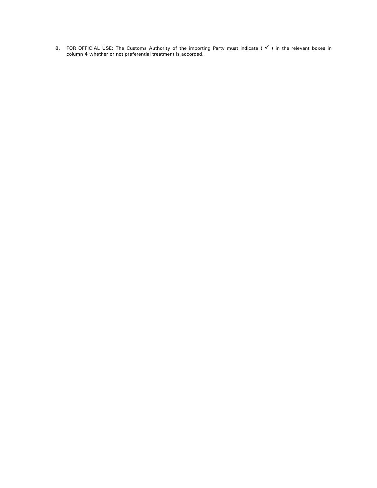8. FOR OFFICIAL USE: The Customs Authority of the importing Party must indicate ( $\checkmark$ ) in the relevant boxes in column 4 whether or not preferential treatment is accorded.